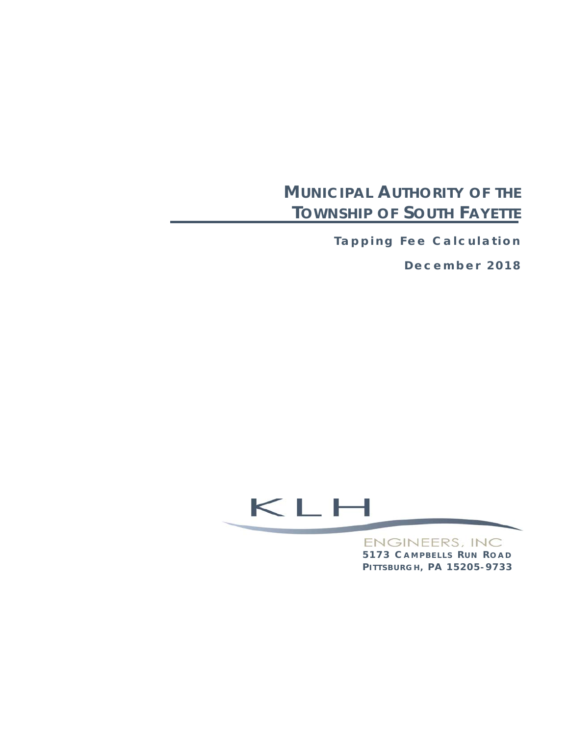# **MUNICIPAL AUTHORITY OF THE TOWNSHIP OF SOUTH FAYETTE**

**Tapping Fee Calculation** 

**December 2018** 

# $\leq$   $\mathsf{L}$   $\mathsf{L}$

**ENGINEERS, INC 5173 C AMPBELLS R U N R OAD P ITTSBURGH , P A 15205 - 9733**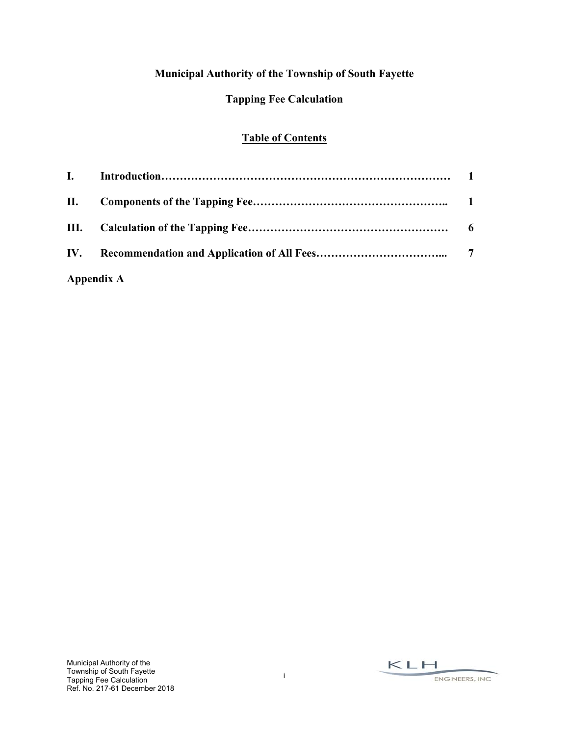# **Municipal Authority of the Township of South Fayette**

### **Tapping Fee Calculation**

#### **Table of Contents**

| <b>Appendix A</b> |  |
|-------------------|--|

 $KLM$ ENGINEERS, INC.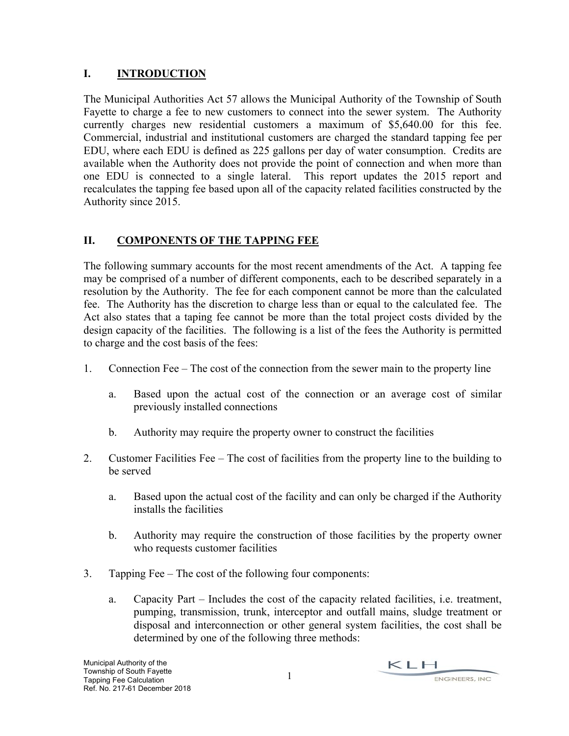#### **I. INTRODUCTION**

The Municipal Authorities Act 57 allows the Municipal Authority of the Township of South Fayette to charge a fee to new customers to connect into the sewer system. The Authority currently charges new residential customers a maximum of \$5,640.00 for this fee. Commercial, industrial and institutional customers are charged the standard tapping fee per EDU, where each EDU is defined as 225 gallons per day of water consumption. Credits are available when the Authority does not provide the point of connection and when more than one EDU is connected to a single lateral. This report updates the 2015 report and recalculates the tapping fee based upon all of the capacity related facilities constructed by the Authority since 2015.

## **II. COMPONENTS OF THE TAPPING FEE**

The following summary accounts for the most recent amendments of the Act. A tapping fee may be comprised of a number of different components, each to be described separately in a resolution by the Authority. The fee for each component cannot be more than the calculated fee. The Authority has the discretion to charge less than or equal to the calculated fee. The Act also states that a taping fee cannot be more than the total project costs divided by the design capacity of the facilities. The following is a list of the fees the Authority is permitted to charge and the cost basis of the fees:

- 1. Connection Fee The cost of the connection from the sewer main to the property line
	- a. Based upon the actual cost of the connection or an average cost of similar previously installed connections
	- b. Authority may require the property owner to construct the facilities
- 2. Customer Facilities Fee The cost of facilities from the property line to the building to be served
	- a. Based upon the actual cost of the facility and can only be charged if the Authority installs the facilities
	- b. Authority may require the construction of those facilities by the property owner who requests customer facilities
- 3. Tapping Fee The cost of the following four components:
	- a. Capacity Part Includes the cost of the capacity related facilities, i.e. treatment, pumping, transmission, trunk, interceptor and outfall mains, sludge treatment or disposal and interconnection or other general system facilities, the cost shall be determined by one of the following three methods: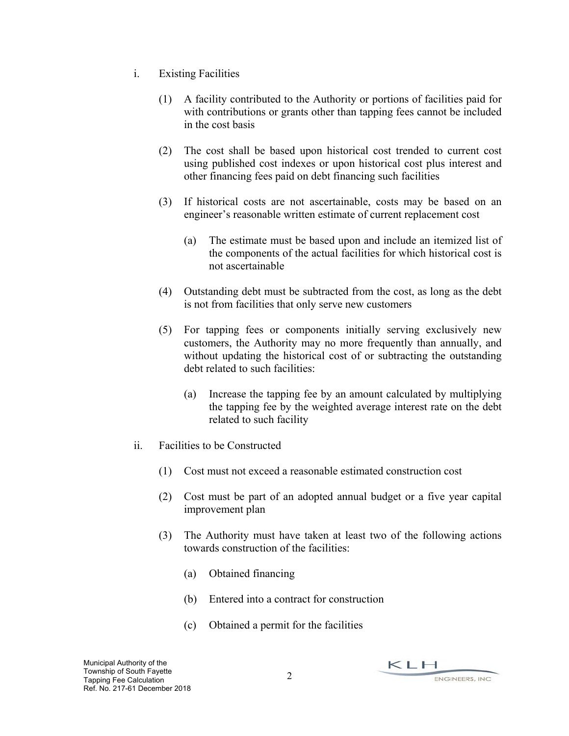- i. Existing Facilities
	- (1) A facility contributed to the Authority or portions of facilities paid for with contributions or grants other than tapping fees cannot be included in the cost basis
	- (2) The cost shall be based upon historical cost trended to current cost using published cost indexes or upon historical cost plus interest and other financing fees paid on debt financing such facilities
	- (3) If historical costs are not ascertainable, costs may be based on an engineer's reasonable written estimate of current replacement cost
		- (a) The estimate must be based upon and include an itemized list of the components of the actual facilities for which historical cost is not ascertainable
	- (4) Outstanding debt must be subtracted from the cost, as long as the debt is not from facilities that only serve new customers
	- (5) For tapping fees or components initially serving exclusively new customers, the Authority may no more frequently than annually, and without updating the historical cost of or subtracting the outstanding debt related to such facilities:
		- (a) Increase the tapping fee by an amount calculated by multiplying the tapping fee by the weighted average interest rate on the debt related to such facility
- ii. Facilities to be Constructed
	- (1) Cost must not exceed a reasonable estimated construction cost
	- (2) Cost must be part of an adopted annual budget or a five year capital improvement plan
	- (3) The Authority must have taken at least two of the following actions towards construction of the facilities:
		- (a) Obtained financing
		- (b) Entered into a contract for construction
		- (c) Obtained a permit for the facilities

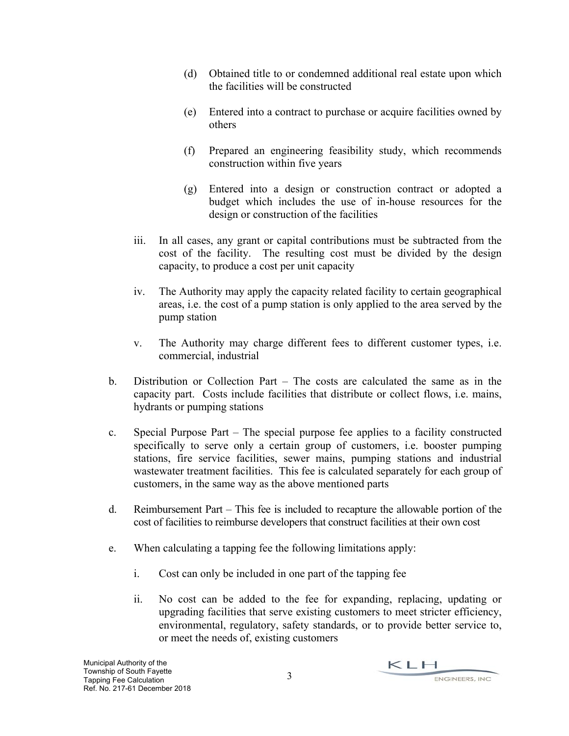- (d) Obtained title to or condemned additional real estate upon which the facilities will be constructed
- (e) Entered into a contract to purchase or acquire facilities owned by others
- (f) Prepared an engineering feasibility study, which recommends construction within five years
- (g) Entered into a design or construction contract or adopted a budget which includes the use of in-house resources for the design or construction of the facilities
- iii. In all cases, any grant or capital contributions must be subtracted from the cost of the facility. The resulting cost must be divided by the design capacity, to produce a cost per unit capacity
- iv. The Authority may apply the capacity related facility to certain geographical areas, i.e. the cost of a pump station is only applied to the area served by the pump station
- v. The Authority may charge different fees to different customer types, i.e. commercial, industrial
- b. Distribution or Collection Part The costs are calculated the same as in the capacity part. Costs include facilities that distribute or collect flows, i.e. mains, hydrants or pumping stations
- c. Special Purpose Part The special purpose fee applies to a facility constructed specifically to serve only a certain group of customers, i.e. booster pumping stations, fire service facilities, sewer mains, pumping stations and industrial wastewater treatment facilities. This fee is calculated separately for each group of customers, in the same way as the above mentioned parts
- d. Reimbursement Part This fee is included to recapture the allowable portion of the cost of facilities to reimburse developers that construct facilities at their own cost
- e. When calculating a tapping fee the following limitations apply:
	- i. Cost can only be included in one part of the tapping fee
	- ii. No cost can be added to the fee for expanding, replacing, updating or upgrading facilities that serve existing customers to meet stricter efficiency, environmental, regulatory, safety standards, or to provide better service to, or meet the needs of, existing customers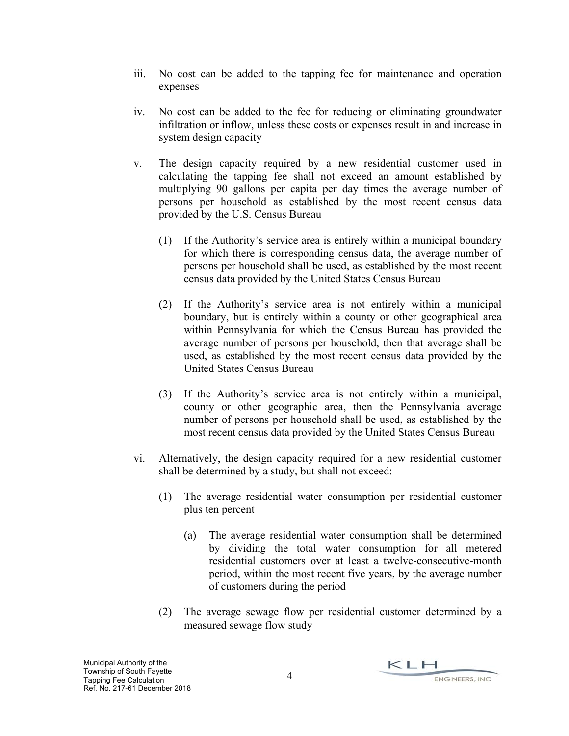- iii. No cost can be added to the tapping fee for maintenance and operation expenses
- iv. No cost can be added to the fee for reducing or eliminating groundwater infiltration or inflow, unless these costs or expenses result in and increase in system design capacity
- v. The design capacity required by a new residential customer used in calculating the tapping fee shall not exceed an amount established by multiplying 90 gallons per capita per day times the average number of persons per household as established by the most recent census data provided by the U.S. Census Bureau
	- (1) If the Authority's service area is entirely within a municipal boundary for which there is corresponding census data, the average number of persons per household shall be used, as established by the most recent census data provided by the United States Census Bureau
	- (2) If the Authority's service area is not entirely within a municipal boundary, but is entirely within a county or other geographical area within Pennsylvania for which the Census Bureau has provided the average number of persons per household, then that average shall be used, as established by the most recent census data provided by the United States Census Bureau
	- (3) If the Authority's service area is not entirely within a municipal, county or other geographic area, then the Pennsylvania average number of persons per household shall be used, as established by the most recent census data provided by the United States Census Bureau
- vi. Alternatively, the design capacity required for a new residential customer shall be determined by a study, but shall not exceed:
	- (1) The average residential water consumption per residential customer plus ten percent
		- (a) The average residential water consumption shall be determined by dividing the total water consumption for all metered residential customers over at least a twelve-consecutive-month period, within the most recent five years, by the average number of customers during the period
	- (2) The average sewage flow per residential customer determined by a measured sewage flow study

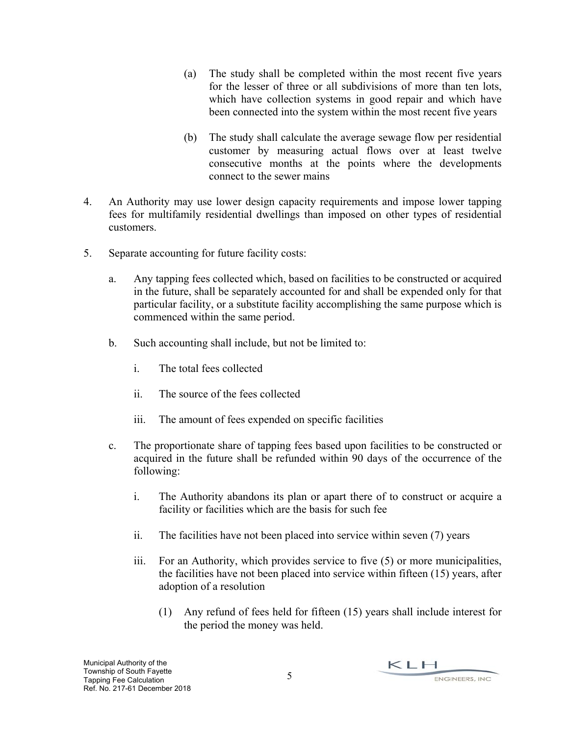- (a) The study shall be completed within the most recent five years for the lesser of three or all subdivisions of more than ten lots, which have collection systems in good repair and which have been connected into the system within the most recent five years
- (b) The study shall calculate the average sewage flow per residential customer by measuring actual flows over at least twelve consecutive months at the points where the developments connect to the sewer mains
- 4. An Authority may use lower design capacity requirements and impose lower tapping fees for multifamily residential dwellings than imposed on other types of residential customers.
- 5. Separate accounting for future facility costs:
	- a. Any tapping fees collected which, based on facilities to be constructed or acquired in the future, shall be separately accounted for and shall be expended only for that particular facility, or a substitute facility accomplishing the same purpose which is commenced within the same period.
	- b. Such accounting shall include, but not be limited to:
		- i. The total fees collected
		- ii. The source of the fees collected
		- iii. The amount of fees expended on specific facilities
	- c. The proportionate share of tapping fees based upon facilities to be constructed or acquired in the future shall be refunded within 90 days of the occurrence of the following:
		- i. The Authority abandons its plan or apart there of to construct or acquire a facility or facilities which are the basis for such fee
		- ii. The facilities have not been placed into service within seven (7) years
		- iii. For an Authority, which provides service to five (5) or more municipalities, the facilities have not been placed into service within fifteen (15) years, after adoption of a resolution
			- (1) Any refund of fees held for fifteen (15) years shall include interest for the period the money was held.

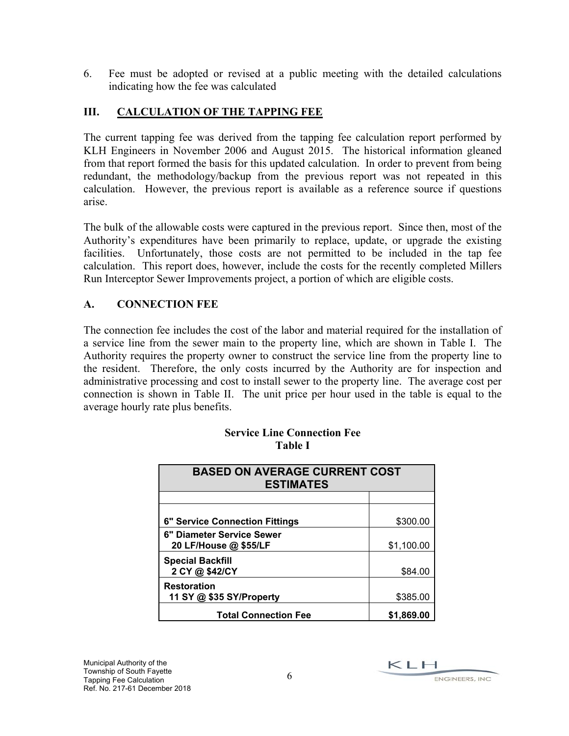6. Fee must be adopted or revised at a public meeting with the detailed calculations indicating how the fee was calculated

#### **III. CALCULATION OF THE TAPPING FEE**

The current tapping fee was derived from the tapping fee calculation report performed by KLH Engineers in November 2006 and August 2015. The historical information gleaned from that report formed the basis for this updated calculation. In order to prevent from being redundant, the methodology/backup from the previous report was not repeated in this calculation. However, the previous report is available as a reference source if questions arise.

The bulk of the allowable costs were captured in the previous report. Since then, most of the Authority's expenditures have been primarily to replace, update, or upgrade the existing facilities. Unfortunately, those costs are not permitted to be included in the tap fee calculation. This report does, however, include the costs for the recently completed Millers Run Interceptor Sewer Improvements project, a portion of which are eligible costs.

### **A. CONNECTION FEE**

The connection fee includes the cost of the labor and material required for the installation of a service line from the sewer main to the property line, which are shown in Table I. The Authority requires the property owner to construct the service line from the property line to the resident. Therefore, the only costs incurred by the Authority are for inspection and administrative processing and cost to install sewer to the property line. The average cost per connection is shown in Table II. The unit price per hour used in the table is equal to the average hourly rate plus benefits.

| <b>BASED ON AVERAGE CURRENT COST</b><br><b>ESTIMATES</b> |            |  |
|----------------------------------------------------------|------------|--|
|                                                          |            |  |
| 6" Service Connection Fittings                           | \$300.00   |  |
| 6" Diameter Service Sewer<br>20 LF/House @ \$55/LF       | \$1,100.00 |  |
| <b>Special Backfill</b><br>2 CY @ \$42/CY                | \$84.00    |  |
| <b>Restoration</b><br>11 SY @ \$35 SY/Property           | \$385.00   |  |
| <b>Total Connection Fee</b>                              | \$1,869,00 |  |

#### **Service Line Connection Fee Table I**

KLH ENGINEERS, INC.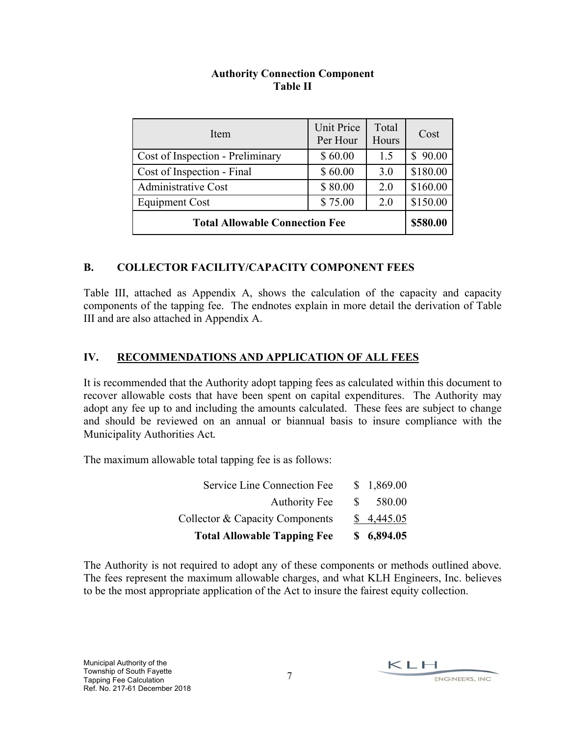#### **Authority Connection Component Table II**

| Item                                  | <b>Unit Price</b><br>Per Hour | Total<br>Hours | Cost                  |
|---------------------------------------|-------------------------------|----------------|-----------------------|
| Cost of Inspection - Preliminary      | \$60.00                       | 1.5            | 90.00<br>$\mathbb{S}$ |
| Cost of Inspection - Final            | \$60.00                       | 3.0            | \$180.00              |
| <b>Administrative Cost</b>            | \$80.00                       | 2.0            | \$160.00              |
| <b>Equipment Cost</b>                 | \$75.00                       | 2.0            | \$150.00              |
| <b>Total Allowable Connection Fee</b> | \$580.00                      |                |                       |

#### **B. COLLECTOR FACILITY/CAPACITY COMPONENT FEES**

Table III, attached as Appendix A, shows the calculation of the capacity and capacity components of the tapping fee. The endnotes explain in more detail the derivation of Table III and are also attached in Appendix A.

#### **IV. RECOMMENDATIONS AND APPLICATION OF ALL FEES**

It is recommended that the Authority adopt tapping fees as calculated within this document to recover allowable costs that have been spent on capital expenditures. The Authority may adopt any fee up to and including the amounts calculated. These fees are subject to change and should be reviewed on an annual or biannual basis to insure compliance with the Municipality Authorities Act*.* 

The maximum allowable total tapping fee is as follows:

| <b>Total Allowable Tapping Fee</b> |              | \$6,894.05 |
|------------------------------------|--------------|------------|
| Collector & Capacity Components    |              | \$4,445.05 |
| <b>Authority Fee</b>               | <sup>S</sup> | 580.00     |
| Service Line Connection Fee        |              | \$1,869.00 |

The Authority is not required to adopt any of these components or methods outlined above. The fees represent the maximum allowable charges, and what KLH Engineers, Inc. believes to be the most appropriate application of the Act to insure the fairest equity collection.

 $KLM$ ENGINEERS, INC.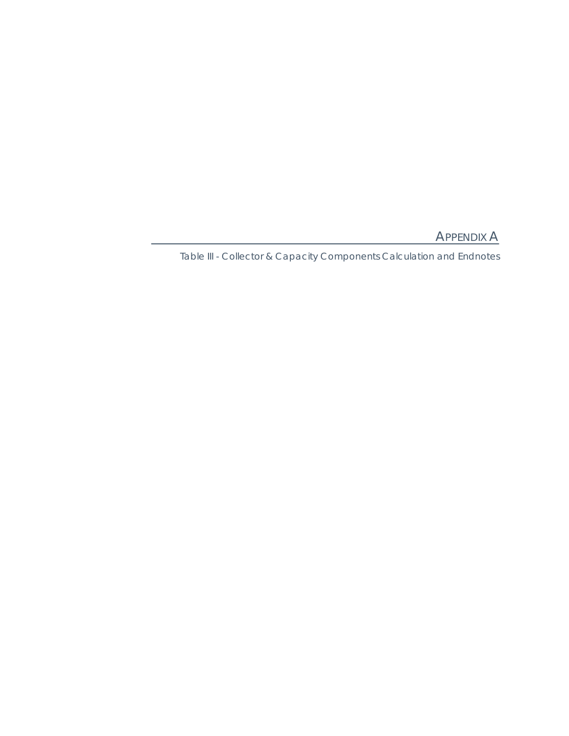APPENDIX A

Table III - Collector & Capacity Components Calculation and Endnotes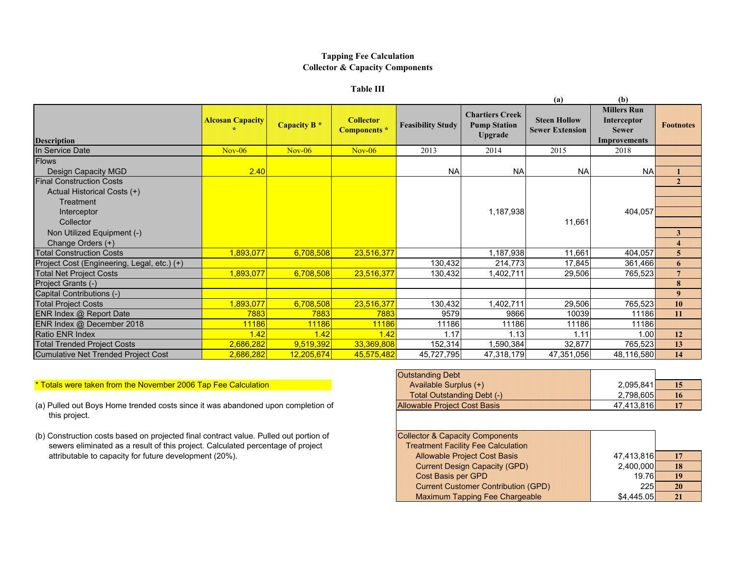#### **Tapping Fee Calculation Collector & Capacity Components**

#### **Table III**

|                                             |                         |                         |                                         |                          |                                                                 | (a)                                           | (b)                                                                             |                         |
|---------------------------------------------|-------------------------|-------------------------|-----------------------------------------|--------------------------|-----------------------------------------------------------------|-----------------------------------------------|---------------------------------------------------------------------------------|-------------------------|
| <b>Description</b>                          | <b>Alcosan Capacity</b> | Capacity B <sup>*</sup> | <b>Collector</b><br><b>Components</b> * | <b>Feasibility Study</b> | <b>Chartiers Creek</b><br><b>Pump Station</b><br><b>Upgrade</b> | <b>Steen Hollow</b><br><b>Sewer Extension</b> | <b>Millers Run</b><br><b>Interceptor</b><br><b>Sewer</b><br><b>Improvements</b> | <b>Footnotes</b>        |
| In Service Date                             | $Nov-06$                | $Nov-06$                | $Nov-06$                                | 2013                     | 2014                                                            | 2015                                          | 2018                                                                            |                         |
| <b>Flows</b>                                |                         |                         |                                         |                          |                                                                 |                                               |                                                                                 |                         |
| Design Capacity MGD                         | 2.40                    |                         |                                         | <b>NA</b>                | <b>NA</b>                                                       | <b>NA</b>                                     | <b>NA</b>                                                                       |                         |
| <b>Final Construction Costs</b>             |                         |                         |                                         |                          |                                                                 |                                               |                                                                                 | $\overline{2}$          |
| Actual Historical Costs (+)                 |                         |                         |                                         |                          |                                                                 |                                               |                                                                                 |                         |
| <b>Treatment</b>                            |                         |                         |                                         |                          |                                                                 |                                               |                                                                                 |                         |
| Interceptor                                 |                         |                         |                                         |                          | 1,187,938                                                       |                                               | 404,057                                                                         |                         |
| Collector                                   |                         |                         |                                         |                          |                                                                 | 11,661                                        |                                                                                 |                         |
| Non Utilized Equipment (-)                  |                         |                         |                                         |                          |                                                                 |                                               |                                                                                 | 3                       |
| Change Orders (+)                           |                         |                         |                                         |                          |                                                                 |                                               |                                                                                 | $\overline{\mathbf{4}}$ |
| <b>Total Construction Costs</b>             | 893,077                 | 6,708,508               | 23,516,377                              |                          | 1,187,938                                                       | 11,661                                        | 404,057                                                                         | $\overline{5}$          |
| Project Cost (Engineering, Legal, etc.) (+) |                         |                         |                                         | 130,432                  | 214,773                                                         | 17,845                                        | 361,466                                                                         | 6                       |
| <b>Total Net Project Costs</b>              | 1,893,077               | 6,708,508               | 23,516,377                              | 130,432                  | 1,402,711                                                       | 29,506                                        | 765,523                                                                         | $7\phantom{.0}$         |
| Project Grants (-)                          |                         |                         |                                         |                          |                                                                 |                                               |                                                                                 | 8                       |
| Capital Contributions (-)                   |                         |                         |                                         |                          |                                                                 |                                               |                                                                                 | 9                       |
| <b>Total Project Costs</b>                  | 1,893,077               | 6,708,508               | 23,516,377                              | 130,432                  | 1,402,711                                                       | 29,506                                        | 765,523                                                                         | 10                      |
| ENR Index @ Report Date                     | 7883                    | 7883                    | 7883                                    | 9579                     | 9866                                                            | 10039                                         | 11186                                                                           | 11                      |
| ENR Index @ December 2018                   | 11186                   | 11186                   | 11186                                   | 11186                    | 11186                                                           | 11186                                         | 11186                                                                           |                         |
| <b>Ratio ENR Index</b>                      | 1.42                    | 1.42                    | 1.42                                    | 1.17                     | 1.13                                                            | 1.11                                          | 1.00                                                                            | 12                      |
| <b>Total Trended Project Costs</b>          | 2,686,282               | 9,519,392               | 33,369,808                              | 152,314                  | 1,590,384                                                       | 32,877                                        | 765,523                                                                         | 13                      |
| <b>Cumulative Net Trended Project Cost</b>  | 2,686,282               | 12,205,674              | 45,575,482                              | 45,727,795               | 47,318,179                                                      | 47,351,056                                    | 48,116,580                                                                      | 14                      |

#### $*$  Totals were taken from the November 2006 Tap Fee Calculation Available Surplus (+)

- (a) Pulled out Boys Home trended costs since it was abandoned upon completion of this project.
- (b) Construction costs based on projected final contract value. Pulled out portion of sewers eliminated as a result of this project. Calculated percentage of project attributable to capacity for future development (20%).

| <b>Outstanding Debt</b>             |            |     |
|-------------------------------------|------------|-----|
| Available Surplus (+)               | 2,095,841  |     |
| Total Outstanding Debt (-)          | 2,798,605  | 16. |
| <b>Allowable Project Cost Basis</b> | 47.413.816 |     |

| <b>Collector &amp; Capacity Components</b> |            |           |
|--------------------------------------------|------------|-----------|
| <b>Treatment Facility Fee Calculation</b>  |            |           |
| <b>Allowable Project Cost Basis</b>        | 47,413,816 | 17        |
| <b>Current Design Capacity (GPD)</b>       | 2,400,000  | <b>18</b> |
| <b>Cost Basis per GPD</b>                  | 19.76      | 19        |
| <b>Current Customer Contribution (GPD)</b> | 225        | 20        |
| <b>Maximum Tapping Fee Chargeable</b>      | \$4.445.05 | 21        |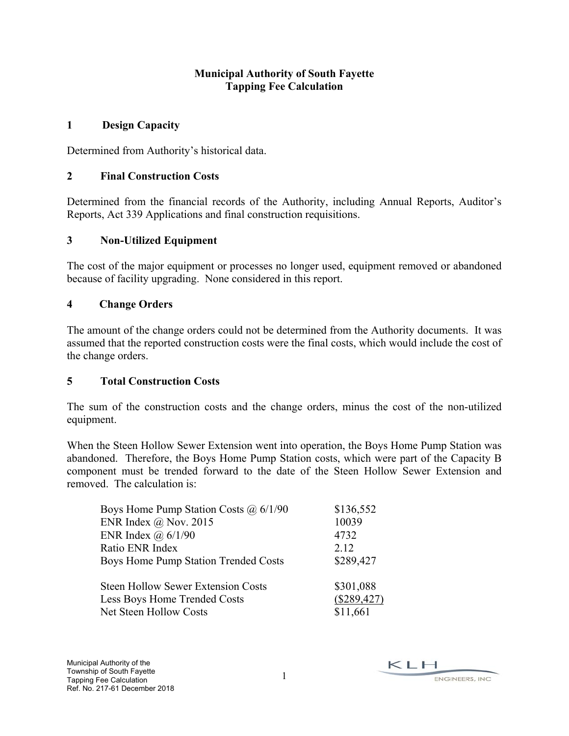#### **Municipal Authority of South Fayette Tapping Fee Calculation**

#### **1 Design Capacity**

Determined from Authority's historical data.

#### **2 Final Construction Costs**

Determined from the financial records of the Authority, including Annual Reports, Auditor's Reports, Act 339 Applications and final construction requisitions.

#### **3 Non-Utilized Equipment**

The cost of the major equipment or processes no longer used, equipment removed or abandoned because of facility upgrading. None considered in this report.

#### **4 Change Orders**

The amount of the change orders could not be determined from the Authority documents. It was assumed that the reported construction costs were the final costs, which would include the cost of the change orders.

#### **5 Total Construction Costs**

The sum of the construction costs and the change orders, minus the cost of the non-utilized equipment.

When the Steen Hollow Sewer Extension went into operation, the Boys Home Pump Station was abandoned. Therefore, the Boys Home Pump Station costs, which were part of the Capacity B component must be trended forward to the date of the Steen Hollow Sewer Extension and removed. The calculation is:

| Boys Home Pump Station Costs $\omega$ 6/1/90 | \$136,552   |
|----------------------------------------------|-------------|
| ENR Index $@$ Nov. 2015                      | 10039       |
| ENR Index $\omega$ 6/1/90                    | 4732        |
| Ratio ENR Index                              | 2.12        |
| Boys Home Pump Station Trended Costs         | \$289,427   |
| <b>Steen Hollow Sewer Extension Costs</b>    | \$301,088   |
| Less Boys Home Trended Costs                 | (\$289,427) |
| Net Steen Hollow Costs                       | \$11,661    |

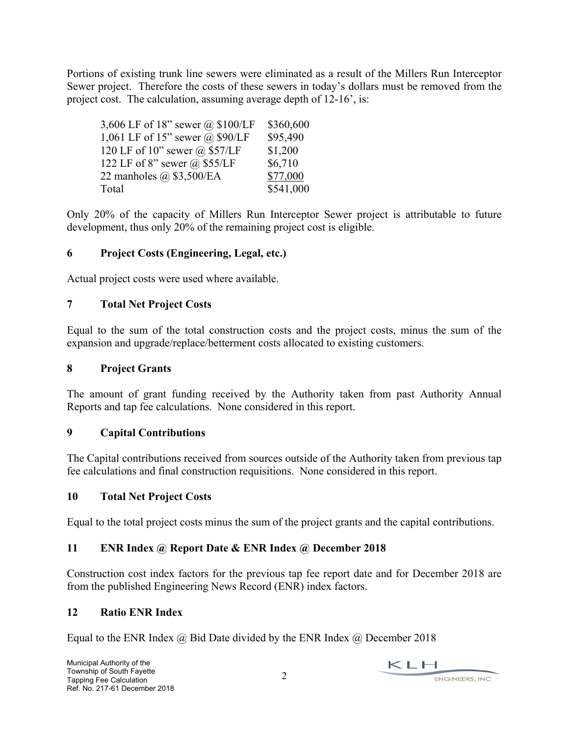Portions of existing trunk line sewers were eliminated as a result of the Millers Run Interceptor Sewer project. Therefore the costs of these sewers in today's dollars must be removed from the project cost. The calculation, assuming average depth of 12-16', is:

| 3,606 LF of 18" sewer @ $$100/LF$      | \$360,600 |
|----------------------------------------|-----------|
| 1,061 LF of 15" sewer $\omega$ \$90/LF | \$95,490  |
| 120 LF of 10" sewer @ \$57/LF          | \$1,200   |
| 122 LF of 8" sewer $\omega$ \$55/LF    | \$6,710   |
| 22 manholes @ \$3,500/EA               | \$77,000  |
| Total                                  | \$541,000 |

Only 20% of the capacity of Millers Run Interceptor Sewer project is attributable to future development, thus only 20% of the remaining project cost is eligible.

#### **6 Project Costs (Engineering, Legal, etc.)**

Actual project costs were used where available.

#### **7 Total Net Project Costs**

Equal to the sum of the total construction costs and the project costs, minus the sum of the expansion and upgrade/replace/betterment costs allocated to existing customers.

#### **8 Project Grants**

The amount of grant funding received by the Authority taken from past Authority Annual Reports and tap fee calculations. None considered in this report.

#### **9 Capital Contributions**

The Capital contributions received from sources outside of the Authority taken from previous tap fee calculations and final construction requisitions. None considered in this report.

#### **10 Total Net Project Costs**

Equal to the total project costs minus the sum of the project grants and the capital contributions.

#### **11 ENR Index @ Report Date & ENR Index @ December 2018**

Construction cost index factors for the previous tap fee report date and for December 2018 are from the published Engineering News Record (ENR) index factors.

#### **12 Ratio ENR Index**

Equal to the ENR Index  $\omega$  Bid Date divided by the ENR Index  $\omega$  December 2018